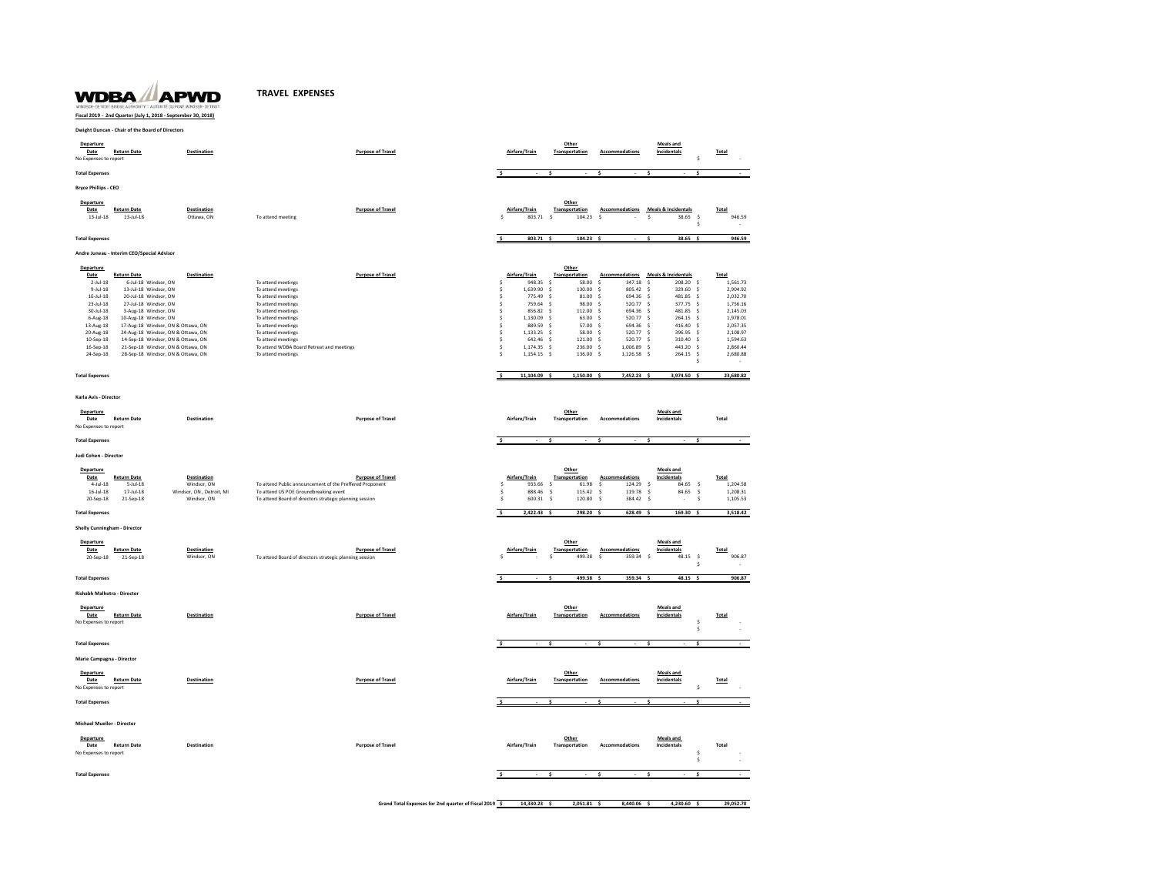## **TRAVEL EXPENSES**

WDBA APWD **Fiscal 2019 - 2nd Quarter (July 1, 2018 - September 30, 2018)**

**Dwight Duncan - Chair of the Board of Directors**

| Departure<br>Date<br>No Expenses to report | <b>Return Date</b>                            | <b>Destination</b>                |                                                          | <b>Purpose of Travel</b> |                     | Airfare/Train           |               | Other<br>Transportation |                      | Accommodations                  | <b>Meals</b> and<br>Incidentals           | \$                           | Total                |
|--------------------------------------------|-----------------------------------------------|-----------------------------------|----------------------------------------------------------|--------------------------|---------------------|-------------------------|---------------|-------------------------|----------------------|---------------------------------|-------------------------------------------|------------------------------|----------------------|
| <b>Total Expenses</b>                      |                                               |                                   |                                                          |                          |                     |                         |               |                         |                      |                                 |                                           | \$.                          |                      |
| <b>Brvce Phillips - CEO</b>                |                                               |                                   |                                                          |                          |                     |                         |               |                         |                      |                                 |                                           |                              |                      |
| <b>Departure</b>                           |                                               |                                   |                                                          |                          |                     |                         |               | Other                   |                      |                                 |                                           |                              |                      |
| Date                                       | <b>Return Date</b>                            | <b>Destination</b>                |                                                          | <b>Purpose of Travel</b> |                     | Airfare/Train           |               | Transportation          |                      |                                 | Accommodations Meals & Incidentals        |                              | Total                |
| $13 -$ Jul-18                              | $13 -$ Jul-18                                 | Ottawa, ON                        | To attend meeting                                        |                          | s                   | 803.71                  | $\leq$        | 104.23                  | $\ddot{\phantom{1}}$ |                                 | $\mathsf{s}$                              | 38.65<br>$\mathsf{s}$<br>Ś   | 946.59               |
| <b>Total Expenses</b>                      |                                               |                                   |                                                          |                          | $\ddot{\mathbf{S}}$ | 803.71 \$               |               | 104.23                  |                      |                                 |                                           | 38.65                        | 946.59               |
|                                            |                                               |                                   |                                                          |                          |                     |                         |               |                         |                      |                                 |                                           |                              |                      |
|                                            | Andre Juneau - Interim CEO/Special Advisor    |                                   |                                                          |                          |                     |                         |               |                         |                      |                                 |                                           |                              |                      |
| Departure<br>Date                          | <b>Return Date</b>                            | <b>Destination</b>                |                                                          | <b>Purpose of Travel</b> |                     | Airfare/Train           |               | Other<br>Transportation |                      |                                 | <b>Accommodations</b> Meals & Incidentals |                              | Total                |
| $2$ -Jul-18                                | 6-Jul-18 Windsor, ON                          |                                   | To attend meetings                                       |                          | Ś                   | 948.35                  | $\mathsf{\$}$ | 58.00                   | $\sf s$              | 347.18                          | $\dot{\mathbf{s}}$                        | 208.20 \$                    | 1,561.73             |
| $9 -$ Jul-18                               | 13-Jul-18 Windsor, ON                         |                                   | To attend meetings                                       |                          | Ś                   | 1,639.90                | $\mathsf{s}$  | 130.00                  | \$                   | 805.42                          | $\dot{\mathbf{s}}$                        | 329.60<br>$\mathsf{s}$       | 2,904.92             |
| $16$ -Jul- $18$                            | 20-Jul-18 Windsor, ON                         |                                   | To attend meetings                                       |                          | <sub>S</sub>        | 775.49                  | - S           | 81.00                   | s.                   | 694.36                          | -Ś                                        | 481.85<br>- S                | 2,032.70             |
| 23-Jul-18                                  | 27-Jul-18 Windsor, ON                         |                                   | To attend meetings                                       |                          | \$                  | 759.64                  | $\mathsf{s}$  | 98.00                   | $\dot{\mathbf{s}}$   | 520.77                          | $\leq$                                    | 377.75<br>$\mathsf{s}$       | 1,756.16             |
| $30 -$ Jul-18<br>$6 - Aug-18$              | 3-Aug-18 Windsor, ON<br>10-Aug-18 Windsor, ON |                                   | To attend meetings<br>To attend meetings                 |                          | \$<br>\$            | 856.82<br>1,130.09      | - \$<br>-\$   | 112.00<br>63.00         | \$<br>$\ddot{s}$     | 694.36<br>520.77                | $\mathsf{s}$<br>.s                        | 481.85<br>\$<br>264.15 \$    | 2,145.03<br>1,978.01 |
| 13-Aug-18                                  | 17-Aug-18 Windsor, ON & Ottawa, ON            |                                   | To attend meetings                                       |                          | $\hat{\mathbf{z}}$  | 88959 \$                |               | 57.00 \$                |                      | 694.36                          | $\ddot{\sim}$                             | 416.40<br>$\leq$             | 2.057.35             |
| 20-Aug-18                                  | 24-Aug-18 Windsor, ON & Ottawa, ON            |                                   | To attend meetings                                       |                          | Ś                   | 1,133.25 \$             |               | 58.00                   | $\dot{\mathbf{s}}$   | 520.77                          |                                           | 396.95<br>$\dot{\mathbf{s}}$ | 2,108.97             |
| 10-Sep-18                                  | 14-Sep-18 Windsor, ON & Ottawa, ON            |                                   | To attend meetings                                       |                          | Ś                   | 642.46 \$               |               | 121.00                  | $\mathsf{S}$         | 520.77                          | -Ś                                        | 310.40<br>$\mathsf{s}$       | 1,594.63             |
| 16-Sep-18                                  | 21-Sep-18 Windsor, ON & Ottawa, ON            |                                   | To attend WDBA Board Retreat and meetings                |                          | $\hat{\mathbf{z}}$  | 1.174.35 \$             |               | 236.00 \$               |                      | 1.006.89                        | $\leq$                                    | 443.20<br>$\leq$             | 2,860.44             |
| 24-Sep-18                                  | 28-Sep-18 Windsor, ON & Ottawa, ON            |                                   | To attend meetings                                       |                          | Ś                   | 1,154.15 \$             |               | 136.00 \$               |                      | 1,126.58                        | $\dot{\mathsf{s}}$                        | 264.15<br>\$<br>s.           | 2,680.88             |
|                                            |                                               |                                   |                                                          |                          |                     |                         |               |                         |                      |                                 |                                           |                              |                      |
| <b>Total Expenses</b>                      |                                               |                                   |                                                          |                          | \$.                 | 11,104.09 \$            |               | 1,150.00 \$             |                      | 7,452.23 \$                     |                                           | $3,974.50$ \$                | 23,680.82            |
| Karla Avis - Director                      |                                               |                                   |                                                          |                          |                     |                         |               |                         |                      |                                 |                                           |                              |                      |
| <b>Departure</b>                           |                                               |                                   |                                                          |                          |                     |                         |               | Other                   |                      |                                 | Meals and                                 |                              |                      |
| Date                                       | <b>Return Date</b>                            | <b>Destination</b>                |                                                          | <b>Purpose of Travel</b> |                     | Airfare/Train           |               | Transportation          |                      | <b>Accommodations</b>           | Incidentals                               |                              | Total                |
| No Expenses to report                      |                                               |                                   |                                                          |                          |                     |                         |               |                         |                      |                                 |                                           |                              |                      |
| <b>Total Expenses</b>                      |                                               |                                   |                                                          |                          | s.                  |                         |               |                         | s.                   |                                 |                                           | ¢                            |                      |
| Judi Cohen - Director                      |                                               |                                   |                                                          |                          |                     |                         |               |                         |                      |                                 |                                           |                              |                      |
| Departure                                  |                                               |                                   |                                                          |                          |                     |                         |               | Other                   |                      |                                 | Meals and                                 |                              |                      |
| Date<br>$4$ -Jul-18                        | <b>Return Date</b><br>$5 -$ Jul $-18$         | <b>Destination</b><br>Windsor, ON | To attend Public announcement of the Preffered Proponent | <b>Purpose of Travel</b> | \$                  | Airfare/Train<br>933.66 | Ś             | Transportation<br>61.98 | $\ddot{\mathsf{s}}$  | <b>Accommodations</b><br>124.29 | Incidentals<br>$\dot{\mathbf{s}}$         | 84.65<br>-\$                 | Total<br>1,204.58    |
| $16$ -Jul-18                               | $17 -$ Jul-18                                 | Windsor, ON . Detroit. MI         | To attend US POE Groundbreaking event                    |                          | s                   | 888.46                  | -S            | 115.42                  | s.                   | 119.78 \$                       |                                           | 84.65<br>$\mathsf{S}$        | 1,208.31             |
| 20-Sep-18                                  | 21-Sep-18                                     | Windsor, ON                       | To attend Board of directors strategic planning session  |                          | \$                  | 600.31                  | $\leq$        | 120.80                  | <sub>S</sub>         | 384.42                          | s.                                        | \$<br>$\sim$                 | 1,105.53             |
| <b>Total Expenses</b>                      |                                               |                                   |                                                          |                          | Ś                   | 2,422.43                |               | 298.20                  |                      | 628.49                          |                                           | 169.30                       | 3,518.42             |
|                                            | <b>Shelly Cunningham - Director</b>           |                                   |                                                          |                          |                     |                         |               |                         |                      |                                 |                                           |                              |                      |
| <b>Departure</b>                           |                                               |                                   |                                                          |                          |                     |                         |               | Other                   |                      |                                 | <b>Meals and</b>                          |                              |                      |
| Date                                       | <b>Return Date</b>                            | <b>Destination</b>                |                                                          | <b>Purpose of Travel</b> |                     | Airfare/Train           |               | Transportation          |                      | <b>Accommodations</b>           | Incidentals                               |                              | Total                |
| 20-Sep-18                                  | 21-Sep-18                                     | Windsor, ON                       | To attend Board of directors strategic planning session  |                          | Ś                   |                         | S.            | 499.38                  | -S                   | 359.34 \$                       |                                           | 48.15<br>$\mathsf{s}$        | 906.87               |
|                                            |                                               |                                   |                                                          |                          |                     |                         |               |                         |                      |                                 |                                           | \$                           |                      |
| <b>Total Expenses</b>                      |                                               |                                   |                                                          |                          |                     |                         |               | 499.38                  |                      | 359.34                          |                                           | 48.15                        | 906.87               |
|                                            | Rishabh Malhotra - Director                   |                                   |                                                          |                          |                     |                         |               |                         |                      |                                 |                                           |                              |                      |
| <b>Departure</b>                           |                                               |                                   |                                                          |                          |                     |                         |               | Other                   |                      |                                 | Meals and                                 |                              |                      |
| Date                                       | <b>Return Date</b>                            | <b>Destination</b>                |                                                          | <b>Purpose of Travel</b> |                     | Airfare/Train           |               | Transportation          |                      | <b>Accommodations</b>           | Incidentals                               |                              | Total                |
| No Expenses to report                      |                                               |                                   |                                                          |                          |                     |                         |               |                         |                      |                                 |                                           | Ś                            |                      |
|                                            |                                               |                                   |                                                          |                          |                     |                         |               |                         |                      |                                 |                                           | \$                           |                      |
| <b>Total Expenses</b>                      |                                               |                                   |                                                          |                          |                     |                         |               |                         |                      |                                 |                                           | s                            |                      |
|                                            | Marie Campagna - Director                     |                                   |                                                          |                          |                     |                         |               |                         |                      |                                 |                                           |                              |                      |
| <b>Departure</b>                           |                                               |                                   |                                                          |                          |                     |                         |               | Other                   |                      |                                 | <b>Meals and</b>                          |                              |                      |
| Date<br>No Expenses to report              | <b>Return Date</b>                            | <b>Destination</b>                |                                                          | <b>Purpose of Travel</b> |                     | Airfare/Train           |               | Transportation          |                      | <b>Accommodations</b>           | Incidentals                               | \$                           | Total                |
|                                            |                                               |                                   |                                                          |                          |                     |                         |               |                         |                      |                                 |                                           |                              |                      |
| <b>Total Expenses</b>                      |                                               |                                   |                                                          |                          |                     |                         |               |                         |                      |                                 |                                           | ś                            |                      |
| Michael Mueller - Director                 |                                               |                                   |                                                          |                          |                     |                         |               |                         |                      |                                 |                                           |                              |                      |
|                                            |                                               |                                   |                                                          |                          |                     |                         |               |                         |                      |                                 |                                           |                              |                      |
| Departure                                  |                                               |                                   |                                                          |                          |                     |                         |               | Other                   |                      |                                 | <b>Meals</b> and                          |                              |                      |
| Date<br>No Expenses to report              | <b>Return Date</b>                            | <b>Destination</b>                |                                                          | <b>Purpose of Travel</b> |                     | Airfare/Train           |               | Transportation          |                      | <b>Accommodations</b>           | Incidentals                               | \$                           | Total                |
|                                            |                                               |                                   |                                                          |                          |                     |                         |               |                         |                      |                                 |                                           | \$                           |                      |
|                                            |                                               |                                   |                                                          |                          |                     |                         |               |                         |                      |                                 |                                           |                              |                      |
| <b>Total Expenses</b>                      |                                               |                                   |                                                          |                          |                     |                         |               |                         |                      |                                 |                                           |                              |                      |

**Grand Total Expenses for 2nd quarter of Fiscal 2019 \$ 14,330.23 \$ 2,051.81 \$ 8,440.06 \$ 4,230.60 \$ 29,052.70**